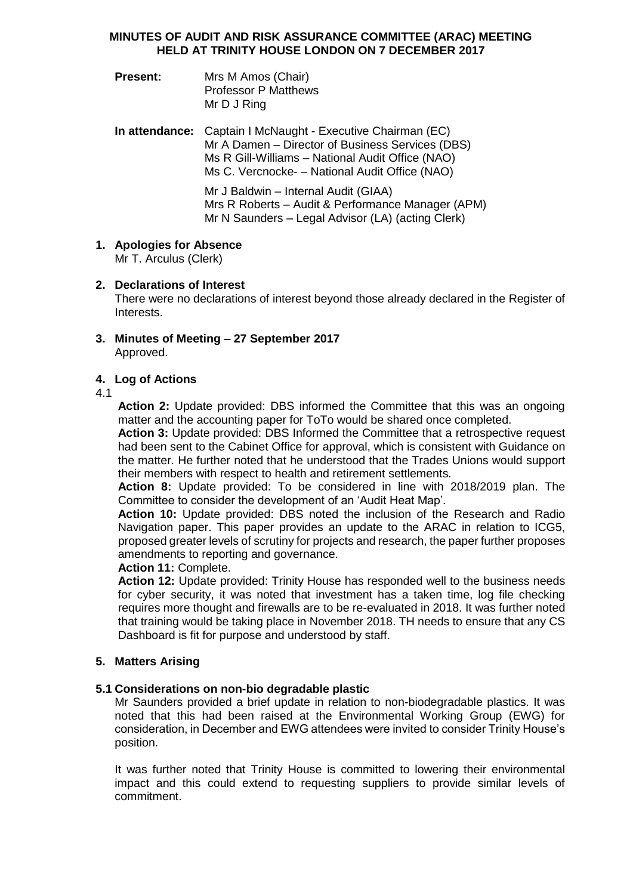## **MINUTES OF AUDIT AND RISK ASSURANCE COMMITTEE (ARAC) MEETING HELD AT TRINITY HOUSE LONDON ON 7 DECEMBER 2017**

- **Present:** Mrs M Amos (Chair) Professor P Matthews Mr D J Ring
- **In attendance:** Captain I McNaught Executive Chairman (EC) Mr A Damen – Director of Business Services (DBS) Ms R Gill-Williams – National Audit Office (NAO) Ms C. Vercnocke- – National Audit Office (NAO)

Mr J Baldwin – Internal Audit (GIAA) Mrs R Roberts – Audit & Performance Manager (APM) Mr N Saunders – Legal Advisor (LA) (acting Clerk)

**1. Apologies for Absence**

Mr T. Arculus (Clerk)

**2. Declarations of Interest**

There were no declarations of interest beyond those already declared in the Register of Interests.

**3. Minutes of Meeting – 27 September 2017** Approved.

# **4. Log of Actions**

4.1

**Action 2:** Update provided: DBS informed the Committee that this was an ongoing matter and the accounting paper for ToTo would be shared once completed.

**Action 3:** Update provided: DBS Informed the Committee that a retrospective request had been sent to the Cabinet Office for approval, which is consistent with Guidance on the matter. He further noted that he understood that the Trades Unions would support their members with respect to health and retirement settlements.

**Action 8:** Update provided: To be considered in line with 2018/2019 plan. The Committee to consider the development of an 'Audit Heat Map'.

**Action 10:** Update provided: DBS noted the inclusion of the Research and Radio Navigation paper. This paper provides an update to the ARAC in relation to ICG5, proposed greater levels of scrutiny for projects and research, the paper further proposes amendments to reporting and governance.

# **Action 11:** Complete.

**Action 12:** Update provided: Trinity House has responded well to the business needs for cyber security, it was noted that investment has a taken time, log file checking requires more thought and firewalls are to be re-evaluated in 2018. It was further noted that training would be taking place in November 2018. TH needs to ensure that any CS Dashboard is fit for purpose and understood by staff.

# **5. Matters Arising**

# **5.1 Considerations on non-bio degradable plastic**

Mr Saunders provided a brief update in relation to non-biodegradable plastics. It was noted that this had been raised at the Environmental Working Group (EWG) for consideration, in December and EWG attendees were invited to consider Trinity House's position.

It was further noted that Trinity House is committed to lowering their environmental impact and this could extend to requesting suppliers to provide similar levels of commitment.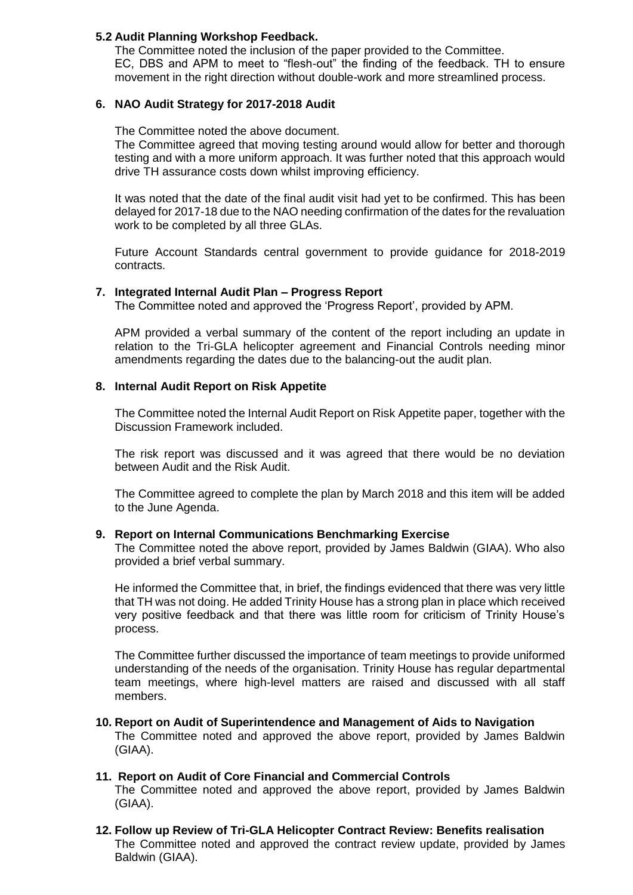## **5.2 Audit Planning Workshop Feedback.**

The Committee noted the inclusion of the paper provided to the Committee. EC, DBS and APM to meet to "flesh-out" the finding of the feedback. TH to ensure movement in the right direction without double-work and more streamlined process.

## **6. NAO Audit Strategy for 2017-2018 Audit**

The Committee noted the above document.

The Committee agreed that moving testing around would allow for better and thorough testing and with a more uniform approach. It was further noted that this approach would drive TH assurance costs down whilst improving efficiency.

It was noted that the date of the final audit visit had yet to be confirmed. This has been delayed for 2017-18 due to the NAO needing confirmation of the dates for the revaluation work to be completed by all three GLAs.

Future Account Standards central government to provide guidance for 2018-2019 contracts.

## **7. Integrated Internal Audit Plan – Progress Report**

The Committee noted and approved the 'Progress Report', provided by APM.

APM provided a verbal summary of the content of the report including an update in relation to the Tri-GLA helicopter agreement and Financial Controls needing minor amendments regarding the dates due to the balancing-out the audit plan.

## **8. Internal Audit Report on Risk Appetite**

The Committee noted the Internal Audit Report on Risk Appetite paper, together with the Discussion Framework included.

The risk report was discussed and it was agreed that there would be no deviation between Audit and the Risk Audit.

The Committee agreed to complete the plan by March 2018 and this item will be added to the June Agenda.

#### **9. Report on Internal Communications Benchmarking Exercise**

The Committee noted the above report, provided by James Baldwin (GIAA). Who also provided a brief verbal summary.

He informed the Committee that, in brief, the findings evidenced that there was very little that TH was not doing. He added Trinity House has a strong plan in place which received very positive feedback and that there was little room for criticism of Trinity House's process.

The Committee further discussed the importance of team meetings to provide uniformed understanding of the needs of the organisation. Trinity House has regular departmental team meetings, where high-level matters are raised and discussed with all staff members.

#### **10. Report on Audit of Superintendence and Management of Aids to Navigation**

The Committee noted and approved the above report, provided by James Baldwin (GIAA).

### **11. Report on Audit of Core Financial and Commercial Controls**

The Committee noted and approved the above report, provided by James Baldwin (GIAA).

**12. Follow up Review of Tri-GLA Helicopter Contract Review: Benefits realisation** The Committee noted and approved the contract review update, provided by James Baldwin (GIAA).